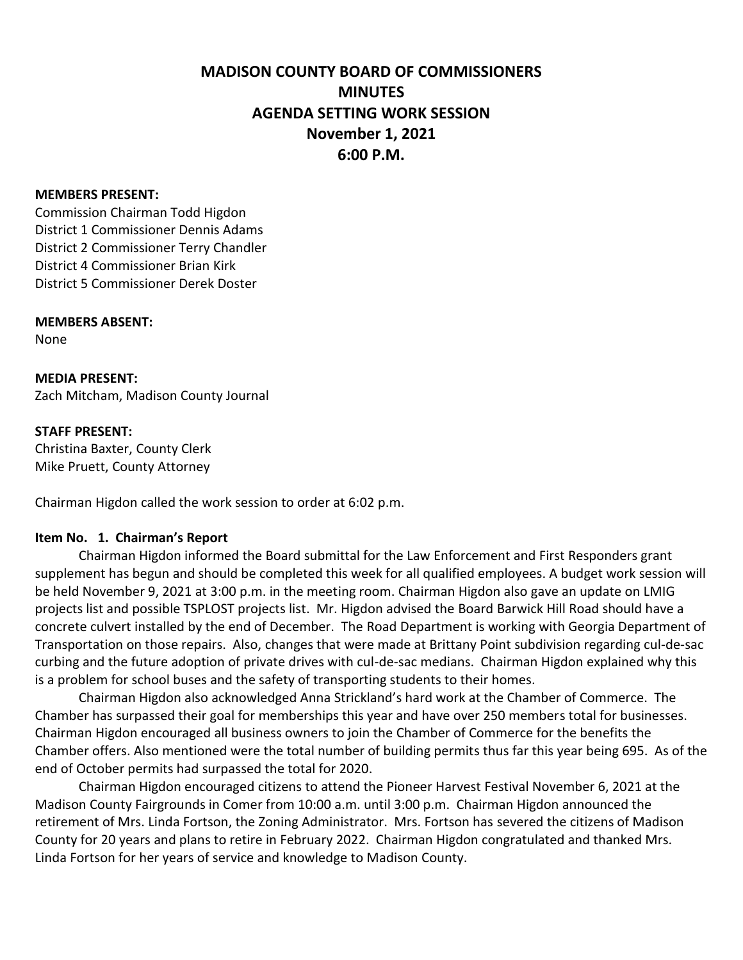# **MADISON COUNTY BOARD OF COMMISSIONERS MINUTES AGENDA SETTING WORK SESSION November 1, 2021 6:00 P.M.**

#### **MEMBERS PRESENT:**

Commission Chairman Todd Higdon District 1 Commissioner Dennis Adams District 2 Commissioner Terry Chandler District 4 Commissioner Brian Kirk District 5 Commissioner Derek Doster

#### **MEMBERS ABSENT:**

None

**MEDIA PRESENT:** Zach Mitcham, Madison County Journal

#### **STAFF PRESENT:**

Christina Baxter, County Clerk Mike Pruett, County Attorney

Chairman Higdon called the work session to order at 6:02 p.m.

### **Item No. 1. Chairman's Report**

Chairman Higdon informed the Board submittal for the Law Enforcement and First Responders grant supplement has begun and should be completed this week for all qualified employees. A budget work session will be held November 9, 2021 at 3:00 p.m. in the meeting room. Chairman Higdon also gave an update on LMIG projects list and possible TSPLOST projects list. Mr. Higdon advised the Board Barwick Hill Road should have a concrete culvert installed by the end of December. The Road Department is working with Georgia Department of Transportation on those repairs. Also, changes that were made at Brittany Point subdivision regarding cul-de-sac curbing and the future adoption of private drives with cul-de-sac medians. Chairman Higdon explained why this is a problem for school buses and the safety of transporting students to their homes.

Chairman Higdon also acknowledged Anna Strickland's hard work at the Chamber of Commerce. The Chamber has surpassed their goal for memberships this year and have over 250 members total for businesses. Chairman Higdon encouraged all business owners to join the Chamber of Commerce for the benefits the Chamber offers. Also mentioned were the total number of building permits thus far this year being 695. As of the end of October permits had surpassed the total for 2020.

Chairman Higdon encouraged citizens to attend the Pioneer Harvest Festival November 6, 2021 at the Madison County Fairgrounds in Comer from 10:00 a.m. until 3:00 p.m. Chairman Higdon announced the retirement of Mrs. Linda Fortson, the Zoning Administrator. Mrs. Fortson has severed the citizens of Madison County for 20 years and plans to retire in February 2022. Chairman Higdon congratulated and thanked Mrs. Linda Fortson for her years of service and knowledge to Madison County.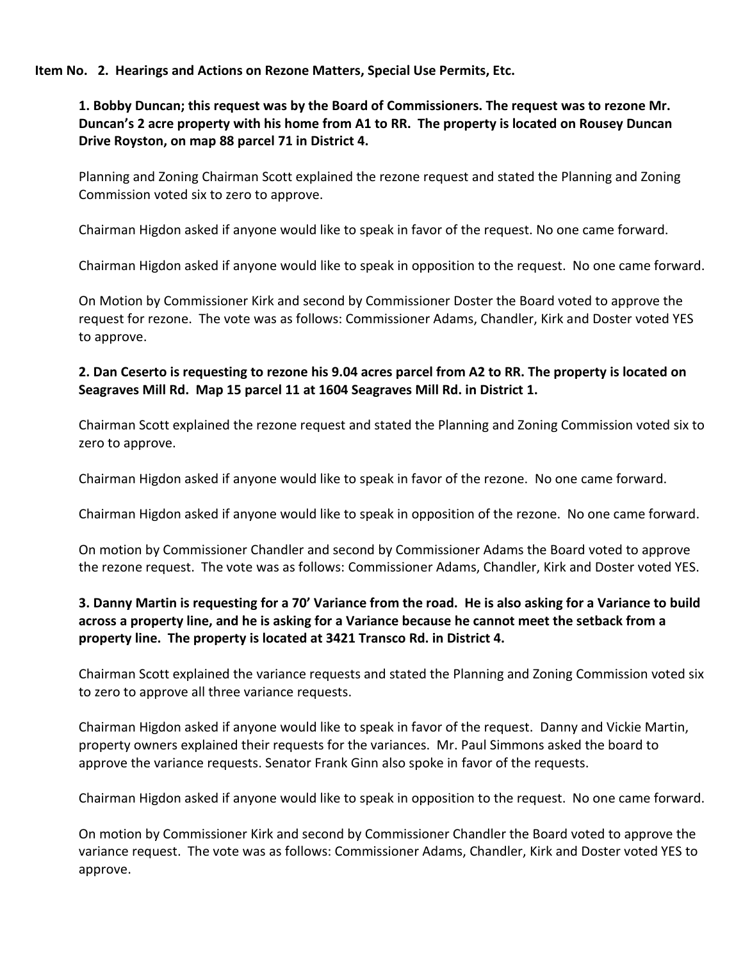**Item No. 2. Hearings and Actions on Rezone Matters, Special Use Permits, Etc.** 

## **1. Bobby Duncan; this request was by the Board of Commissioners. The request was to rezone Mr. Duncan's 2 acre property with his home from A1 to RR. The property is located on Rousey Duncan Drive Royston, on map 88 parcel 71 in District 4.**

Planning and Zoning Chairman Scott explained the rezone request and stated the Planning and Zoning Commission voted six to zero to approve.

Chairman Higdon asked if anyone would like to speak in favor of the request. No one came forward.

Chairman Higdon asked if anyone would like to speak in opposition to the request. No one came forward.

On Motion by Commissioner Kirk and second by Commissioner Doster the Board voted to approve the request for rezone. The vote was as follows: Commissioner Adams, Chandler, Kirk and Doster voted YES to approve.

## **2. Dan Ceserto is requesting to rezone his 9.04 acres parcel from A2 to RR. The property is located on Seagraves Mill Rd. Map 15 parcel 11 at 1604 Seagraves Mill Rd. in District 1.**

Chairman Scott explained the rezone request and stated the Planning and Zoning Commission voted six to zero to approve.

Chairman Higdon asked if anyone would like to speak in favor of the rezone. No one came forward.

Chairman Higdon asked if anyone would like to speak in opposition of the rezone. No one came forward.

On motion by Commissioner Chandler and second by Commissioner Adams the Board voted to approve the rezone request. The vote was as follows: Commissioner Adams, Chandler, Kirk and Doster voted YES.

## **3. Danny Martin is requesting for a 70' Variance from the road. He is also asking for a Variance to build across a property line, and he is asking for a Variance because he cannot meet the setback from a property line. The property is located at 3421 Transco Rd. in District 4.**

Chairman Scott explained the variance requests and stated the Planning and Zoning Commission voted six to zero to approve all three variance requests.

Chairman Higdon asked if anyone would like to speak in favor of the request. Danny and Vickie Martin, property owners explained their requests for the variances. Mr. Paul Simmons asked the board to approve the variance requests. Senator Frank Ginn also spoke in favor of the requests.

Chairman Higdon asked if anyone would like to speak in opposition to the request. No one came forward.

On motion by Commissioner Kirk and second by Commissioner Chandler the Board voted to approve the variance request. The vote was as follows: Commissioner Adams, Chandler, Kirk and Doster voted YES to approve.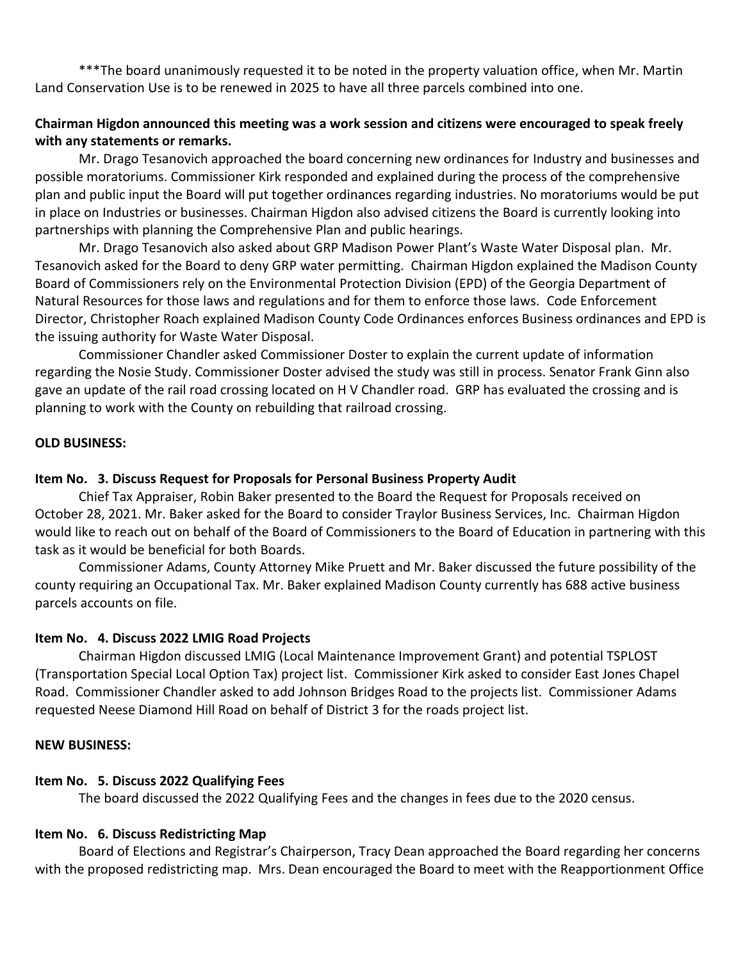\*\*\*The board unanimously requested it to be noted in the property valuation office, when Mr. Martin Land Conservation Use is to be renewed in 2025 to have all three parcels combined into one.

## **Chairman Higdon announced this meeting was a work session and citizens were encouraged to speak freely with any statements or remarks.**

Mr. Drago Tesanovich approached the board concerning new ordinances for Industry and businesses and possible moratoriums. Commissioner Kirk responded and explained during the process of the comprehensive plan and public input the Board will put together ordinances regarding industries. No moratoriums would be put in place on Industries or businesses. Chairman Higdon also advised citizens the Board is currently looking into partnerships with planning the Comprehensive Plan and public hearings.

Mr. Drago Tesanovich also asked about GRP Madison Power Plant's Waste Water Disposal plan. Mr. Tesanovich asked for the Board to deny GRP water permitting. Chairman Higdon explained the Madison County Board of Commissioners rely on the Environmental Protection Division (EPD) of the Georgia Department of Natural Resources for those laws and regulations and for them to enforce those laws. Code Enforcement Director, Christopher Roach explained Madison County Code Ordinances enforces Business ordinances and EPD is the issuing authority for Waste Water Disposal.

Commissioner Chandler asked Commissioner Doster to explain the current update of information regarding the Nosie Study. Commissioner Doster advised the study was still in process. Senator Frank Ginn also gave an update of the rail road crossing located on H V Chandler road. GRP has evaluated the crossing and is planning to work with the County on rebuilding that railroad crossing.

#### **OLD BUSINESS:**

### **Item No. 3. Discuss Request for Proposals for Personal Business Property Audit**

Chief Tax Appraiser, Robin Baker presented to the Board the Request for Proposals received on October 28, 2021. Mr. Baker asked for the Board to consider Traylor Business Services, Inc. Chairman Higdon would like to reach out on behalf of the Board of Commissioners to the Board of Education in partnering with this task as it would be beneficial for both Boards.

Commissioner Adams, County Attorney Mike Pruett and Mr. Baker discussed the future possibility of the county requiring an Occupational Tax. Mr. Baker explained Madison County currently has 688 active business parcels accounts on file.

#### **Item No. 4. Discuss 2022 LMIG Road Projects**

Chairman Higdon discussed LMIG (Local Maintenance Improvement Grant) and potential TSPLOST (Transportation Special Local Option Tax) project list. Commissioner Kirk asked to consider East Jones Chapel Road. Commissioner Chandler asked to add Johnson Bridges Road to the projects list. Commissioner Adams requested Neese Diamond Hill Road on behalf of District 3 for the roads project list.

#### **NEW BUSINESS:**

### **Item No. 5. Discuss 2022 Qualifying Fees**

The board discussed the 2022 Qualifying Fees and the changes in fees due to the 2020 census.

### **Item No. 6. Discuss Redistricting Map**

Board of Elections and Registrar's Chairperson, Tracy Dean approached the Board regarding her concerns with the proposed redistricting map. Mrs. Dean encouraged the Board to meet with the Reapportionment Office